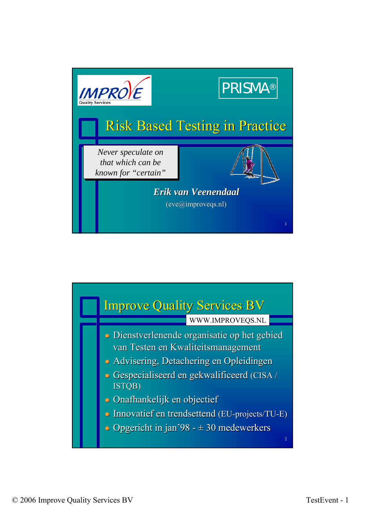

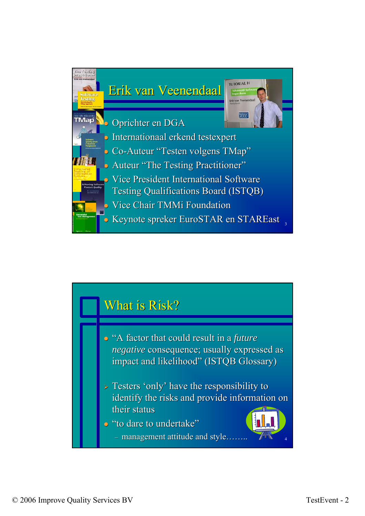![](_page_1_Figure_0.jpeg)

## What is Risk?

- "A factor that could result in a *future negative* consequence; usually expressed as impact and likelihood" (ISTQB Glossary)
- $\triangleright$  Testers 'only' have the responsibility to identify the risks and provide information on their status
- · "to dare to undertake"
- 4  $-$  management attitude and style……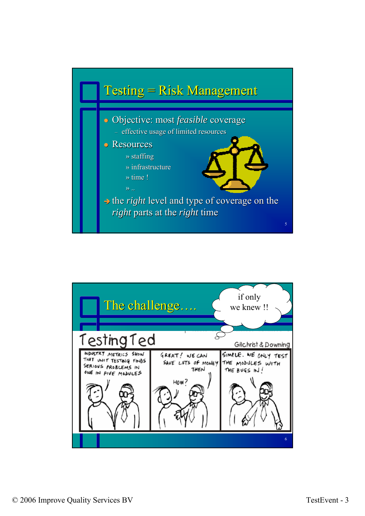![](_page_2_Figure_0.jpeg)

![](_page_2_Figure_1.jpeg)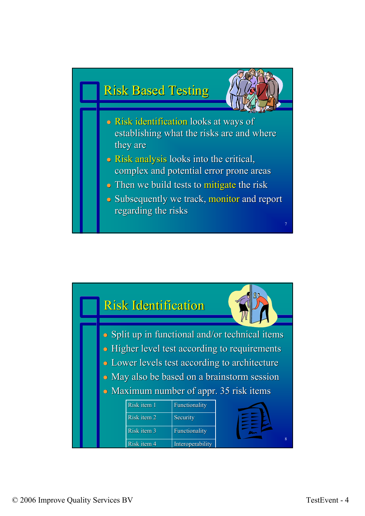![](_page_3_Figure_0.jpeg)

![](_page_3_Figure_1.jpeg)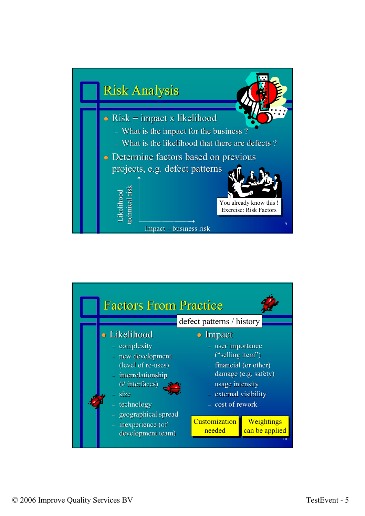![](_page_4_Figure_0.jpeg)

![](_page_4_Figure_1.jpeg)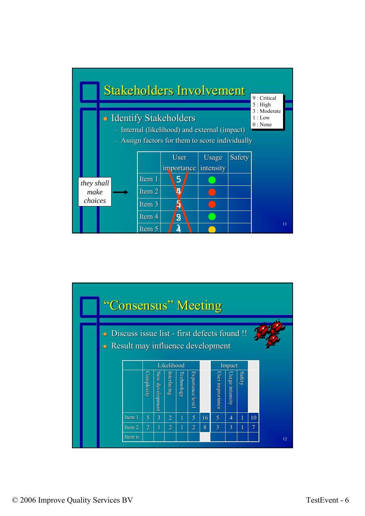![](_page_5_Figure_0.jpeg)

![](_page_5_Figure_1.jpeg)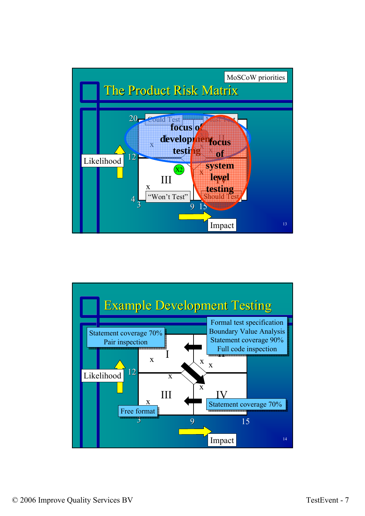![](_page_6_Figure_0.jpeg)

![](_page_6_Figure_1.jpeg)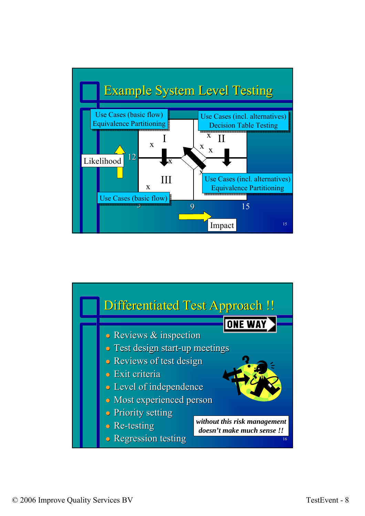![](_page_7_Figure_0.jpeg)

![](_page_7_Figure_1.jpeg)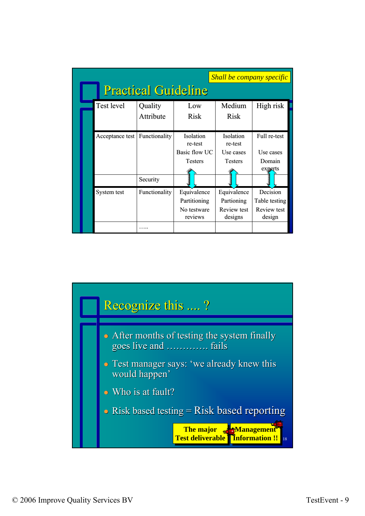|  | Shall be company specific<br><b>Practical Guideline</b> |                      |                                                         |                                                     |                                                    |  |
|--|---------------------------------------------------------|----------------------|---------------------------------------------------------|-----------------------------------------------------|----------------------------------------------------|--|
|  | Test level                                              | Quality<br>Attribute | Low<br>Risk                                             | Medium<br>Risk                                      | High risk                                          |  |
|  | Acceptance test                                         | Functionality        | Isolation<br>re-test<br>Basic flow UC<br><b>Testers</b> | Isolation<br>re-test<br>Use cases<br><b>Testers</b> | Full re-test<br>Use cases<br>Domain<br>experts     |  |
|  |                                                         | Security             |                                                         |                                                     |                                                    |  |
|  | System test                                             | Functionality        | Equivalence<br>Partitioning<br>No testware<br>reviews   | Equivalence<br>Partioning<br>Review test<br>designs | Decision<br>Table testing<br>Review test<br>design |  |
|  |                                                         |                      |                                                         |                                                     |                                                    |  |

![](_page_8_Figure_1.jpeg)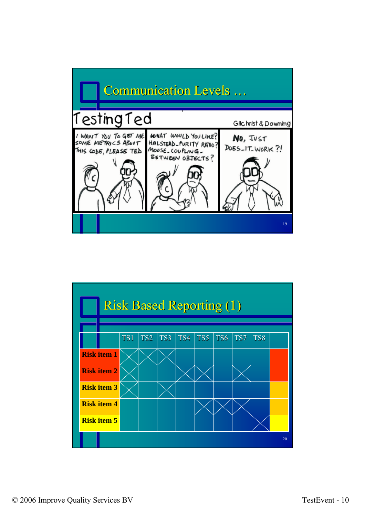![](_page_9_Figure_0.jpeg)

![](_page_9_Figure_1.jpeg)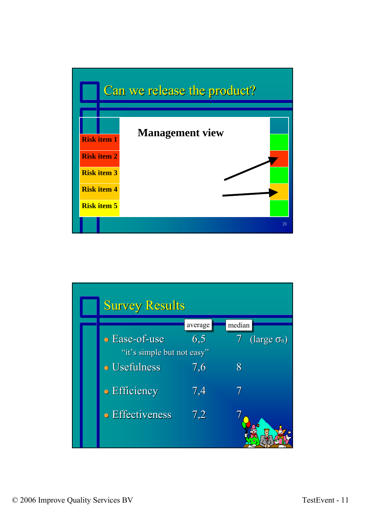![](_page_10_Figure_0.jpeg)

|                            | <b>Survey Results</b> |         |                          |  |  |  |
|----------------------------|-----------------------|---------|--------------------------|--|--|--|
|                            |                       | average | median                   |  |  |  |
|                            | • Ease-of-use         | 6,5     | 7<br>(large $\sigma_n$ ) |  |  |  |
| "it's simple but not easy" |                       |         |                          |  |  |  |
|                            | <b>• Usefulness</b>   | 7,6     | 8                        |  |  |  |
|                            | • Efficiency          | 7,4     | 7                        |  |  |  |
|                            | • Effectiveness       | 7,2     |                          |  |  |  |
|                            |                       |         |                          |  |  |  |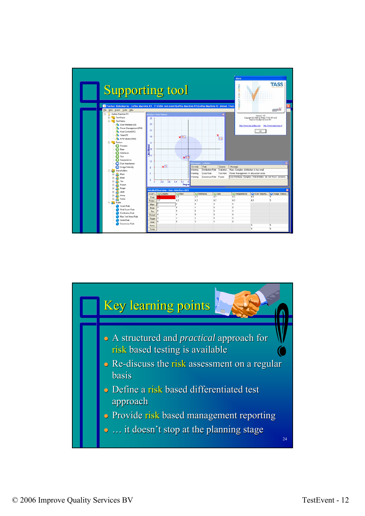![](_page_11_Figure_0.jpeg)

![](_page_11_Figure_1.jpeg)